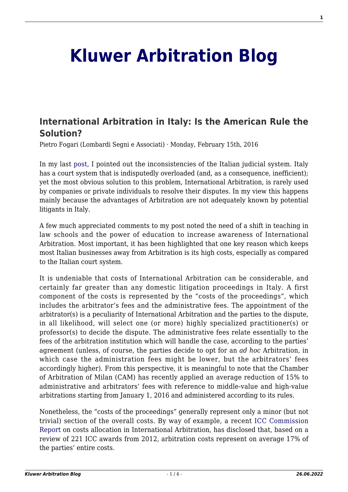## **[Kluwer Arbitration Blog](http://arbitrationblog.kluwerarbitration.com/)**

## **[International Arbitration in Italy: Is the American Rule the](http://arbitrationblog.kluwerarbitration.com/2016/02/15/international-arbitration-in-italy-is-the-american-rule-the-solution/) [Solution?](http://arbitrationblog.kluwerarbitration.com/2016/02/15/international-arbitration-in-italy-is-the-american-rule-the-solution/)**

Pietro Fogari (Lombardi Segni e Associati) · Monday, February 15th, 2016

In my last [post](http://kluwerarbitrationblog.com/2015/12/18/the-strange-case-of-italy-and-its-distrust-of-international-arbitration/), I pointed out the inconsistencies of the Italian judicial system. Italy has a court system that is indisputedly overloaded (and, as a consequence, inefficient); yet the most obvious solution to this problem, International Arbitration, is rarely used by companies or private individuals to resolve their disputes. In my view this happens mainly because the advantages of Arbitration are not adequately known by potential litigants in Italy.

A few much appreciated comments to my post noted the need of a shift in teaching in law schools and the power of education to increase awareness of International Arbitration. Most important, it has been highlighted that one key reason which keeps most Italian businesses away from Arbitration is its high costs, especially as compared to the Italian court system.

It is undeniable that costs of International Arbitration can be considerable, and certainly far greater than any domestic litigation proceedings in Italy. A first component of the costs is represented by the "costs of the proceedings", which includes the arbitrator's fees and the administrative fees. The appointment of the arbitrator(s) is a peculiarity of International Arbitration and the parties to the dispute, in all likelihood, will select one (or more) highly specialized practitioner(s) or professor(s) to decide the dispute. The administrative fees relate essentially to the fees of the arbitration institution which will handle the case, according to the parties' agreement (unless, of course, the parties decide to opt for an *ad hoc* Arbitration, in which case the administration fees might be lower, but the arbitrators' fees accordingly higher). From this perspective, it is meaningful to note that the Chamber of Arbitration of Milan (CAM) has recently applied an average reduction of 15% to administrative and arbitrators' fees with reference to middle-value and high-value arbitrations starting from January 1, 2016 and administered according to its rules.

Nonetheless, the "costs of the proceedings" generally represent only a minor (but not trivial) section of the overall costs. By way of example, a recent [ICC Commission](http://www.iccwbo.org/Advocacy-Codes-and-Rules/Document-centre/2015/Decisions-on-Costs-in-International-Arbitration-ICC-Arbitration-and-ADR-Commission-Report/) [Report](http://www.iccwbo.org/Advocacy-Codes-and-Rules/Document-centre/2015/Decisions-on-Costs-in-International-Arbitration-ICC-Arbitration-and-ADR-Commission-Report/) on costs allocation in International Arbitration, has disclosed that, based on a review of 221 ICC awards from 2012, arbitration costs represent on average 17% of the parties' entire costs.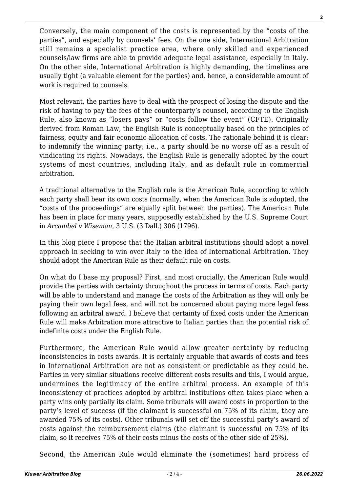Conversely, the main component of the costs is represented by the "costs of the parties", and especially by counsels' fees. On the one side, International Arbitration still remains a specialist practice area, where only skilled and experienced counsels/law firms are able to provide adequate legal assistance, especially in Italy. On the other side, International Arbitration is highly demanding, the timelines are usually tight (a valuable element for the parties) and, hence, a considerable amount of work is required to counsels.

Most relevant, the parties have to deal with the prospect of losing the dispute and the risk of having to pay the fees of the counterparty's counsel, according to the English Rule, also known as "losers pays" or "costs follow the event" (CFTE). Originally derived from Roman Law, the English Rule is conceptually based on the principles of fairness, equity and fair economic allocation of costs. The rationale behind it is clear: to indemnify the winning party; i.e., a party should be no worse off as a result of vindicating its rights. Nowadays, the English Rule is generally adopted by the court systems of most countries, including Italy, and as default rule in commercial arbitration.

A traditional alternative to the English rule is the American Rule, according to which each party shall bear its own costs (normally, when the American Rule is adopted, the "costs of the proceedings" are equally split between the parties). The American Rule has been in place for many years, supposedly established by the U.S. Supreme Court in *Arcambel v Wiseman*, 3 U.S. (3 Dall.) 306 (1796).

In this blog piece I propose that the Italian arbitral institutions should adopt a novel approach in seeking to win over Italy to the idea of International Arbitration. They should adopt the American Rule as their default rule on costs.

On what do I base my proposal? First, and most crucially, the American Rule would provide the parties with certainty throughout the process in terms of costs. Each party will be able to understand and manage the costs of the Arbitration as they will only be paying their own legal fees, and will not be concerned about paying more legal fees following an arbitral award. I believe that certainty of fixed costs under the American Rule will make Arbitration more attractive to Italian parties than the potential risk of indefinite costs under the English Rule.

Furthermore, the American Rule would allow greater certainty by reducing inconsistencies in costs awards. It is certainly arguable that awards of costs and fees in International Arbitration are not as consistent or predictable as they could be. Parties in very similar situations receive different costs results and this, I would argue, undermines the legitimacy of the entire arbitral process. An example of this inconsistency of practices adopted by arbitral institutions often takes place when a party wins only partially its claim. Some tribunals will award costs in proportion to the party's level of success (if the claimant is successful on 75% of its claim, they are awarded 75% of its costs). Other tribunals will set off the successful party's award of costs against the reimbursement claims (the claimant is successful on 75% of its claim, so it receives 75% of their costs minus the costs of the other side of 25%).

Second, the American Rule would eliminate the (sometimes) hard process of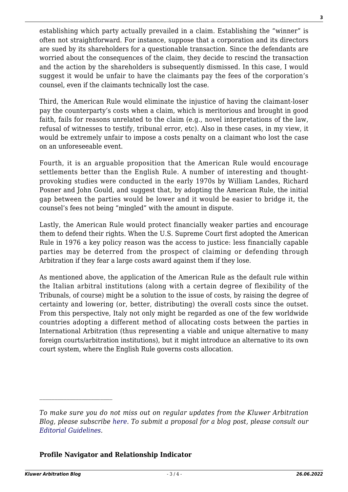establishing which party actually prevailed in a claim. Establishing the "winner" is often not straightforward. For instance, suppose that a corporation and its directors are sued by its shareholders for a questionable transaction. Since the defendants are worried about the consequences of the claim, they decide to rescind the transaction and the action by the shareholders is subsequently dismissed. In this case, I would suggest it would be unfair to have the claimants pay the fees of the corporation's counsel, even if the claimants technically lost the case.

Third, the American Rule would eliminate the injustice of having the claimant-loser pay the counterparty's costs when a claim, which is meritorious and brought in good faith, fails for reasons unrelated to the claim (e.g., novel interpretations of the law, refusal of witnesses to testify, tribunal error, etc). Also in these cases, in my view, it would be extremely unfair to impose a costs penalty on a claimant who lost the case on an unforeseeable event.

Fourth, it is an arguable proposition that the American Rule would encourage settlements better than the English Rule. A number of interesting and thoughtprovoking studies were conducted in the early 1970s by William Landes, Richard Posner and John Gould, and suggest that, by adopting the American Rule, the initial gap between the parties would be lower and it would be easier to bridge it, the counsel's fees not being "mingled" with the amount in dispute.

Lastly, the American Rule would protect financially weaker parties and encourage them to defend their rights. When the U.S. Supreme Court first adopted the American Rule in 1976 a key policy reason was the access to justice: less financially capable parties may be deterred from the prospect of claiming or defending through Arbitration if they fear a large costs award against them if they lose.

As mentioned above, the application of the American Rule as the default rule within the Italian arbitral institutions (along with a certain degree of flexibility of the Tribunals, of course) might be a solution to the issue of costs, by raising the degree of certainty and lowering (or, better, distributing) the overall costs since the outset. From this perspective, Italy not only might be regarded as one of the few worldwide countries adopting a different method of allocating costs between the parties in International Arbitration (thus representing a viable and unique alternative to many foreign courts/arbitration institutions), but it might introduce an alternative to its own court system, where the English Rule governs costs allocation.

## **Profile Navigator and Relationship Indicator**

*To make sure you do not miss out on regular updates from the Kluwer Arbitration Blog, please subscribe [here](http://arbitrationblog.kluwerarbitration.com/newsletter/). To submit a proposal for a blog post, please consult our [Editorial Guidelines.](http://arbitrationblog.kluwerarbitration.com/editorial-guidelines/)*